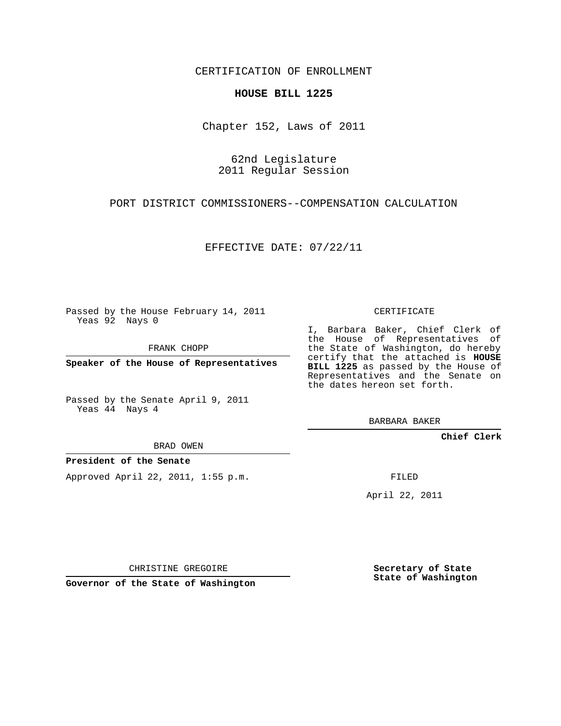CERTIFICATION OF ENROLLMENT

## **HOUSE BILL 1225**

Chapter 152, Laws of 2011

62nd Legislature 2011 Regular Session

PORT DISTRICT COMMISSIONERS--COMPENSATION CALCULATION

EFFECTIVE DATE: 07/22/11

Passed by the House February 14, 2011 Yeas 92 Nays 0

FRANK CHOPP

**Speaker of the House of Representatives**

Passed by the Senate April 9, 2011 Yeas 44 Nays 4

BRAD OWEN

**President of the Senate**

Approved April 22, 2011, 1:55 p.m.

CERTIFICATE

I, Barbara Baker, Chief Clerk of the House of Representatives of the State of Washington, do hereby certify that the attached is **HOUSE BILL 1225** as passed by the House of Representatives and the Senate on the dates hereon set forth.

BARBARA BAKER

**Chief Clerk**

FILED

April 22, 2011

CHRISTINE GREGOIRE

**Governor of the State of Washington**

**Secretary of State State of Washington**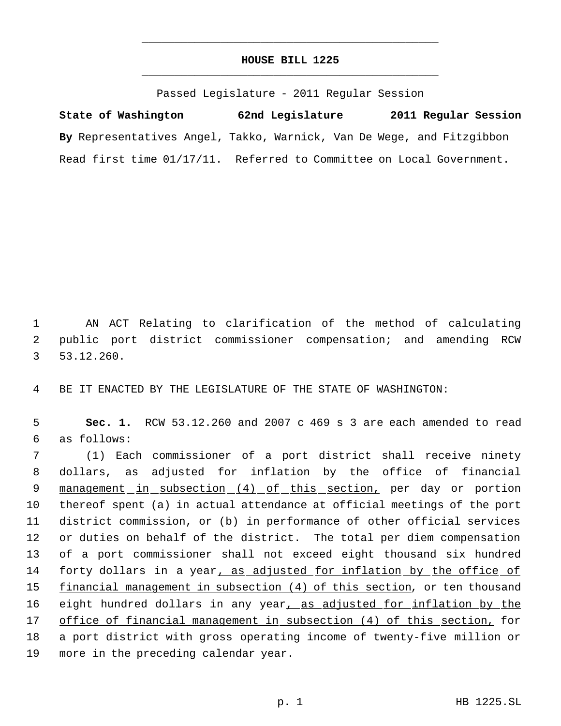## **HOUSE BILL 1225** \_\_\_\_\_\_\_\_\_\_\_\_\_\_\_\_\_\_\_\_\_\_\_\_\_\_\_\_\_\_\_\_\_\_\_\_\_\_\_\_\_\_\_\_\_

\_\_\_\_\_\_\_\_\_\_\_\_\_\_\_\_\_\_\_\_\_\_\_\_\_\_\_\_\_\_\_\_\_\_\_\_\_\_\_\_\_\_\_\_\_

Passed Legislature - 2011 Regular Session

**State of Washington 62nd Legislature 2011 Regular Session By** Representatives Angel, Takko, Warnick, Van De Wege, and Fitzgibbon Read first time 01/17/11. Referred to Committee on Local Government.

 1 AN ACT Relating to clarification of the method of calculating 2 public port district commissioner compensation; and amending RCW 3 53.12.260.

4 BE IT ENACTED BY THE LEGISLATURE OF THE STATE OF WASHINGTON:

 5 **Sec. 1.** RCW 53.12.260 and 2007 c 469 s 3 are each amended to read 6 as follows:

 (1) Each commissioner of a port district shall receive ninety 8 dollars, as adjusted for inflation by the office of financial 9 management in subsection (4) of this section, per day or portion thereof spent (a) in actual attendance at official meetings of the port district commission, or (b) in performance of other official services or duties on behalf of the district. The total per diem compensation of a port commissioner shall not exceed eight thousand six hundred 14 forty dollars in a year, as adjusted for inflation by the office of 15 financial management in subsection (4) of this section, or ten thousand 16 eight hundred dollars in any year, as adjusted for inflation by the office of financial management in subsection (4) of this section, for a port district with gross operating income of twenty-five million or more in the preceding calendar year.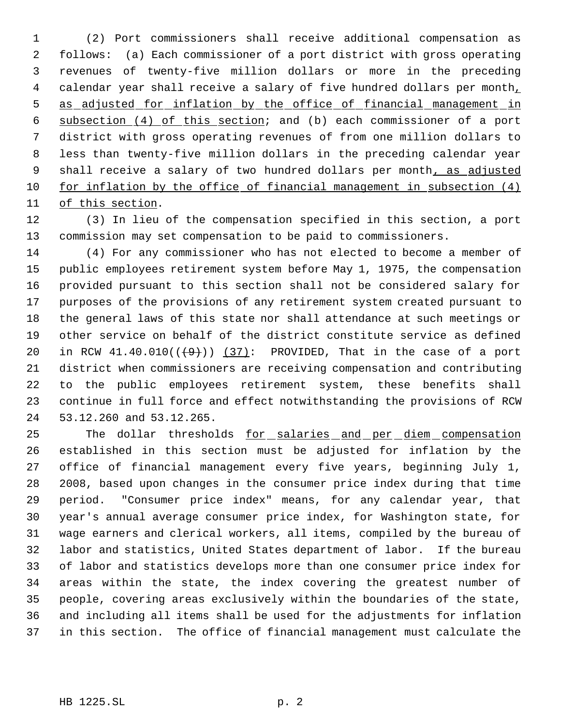(2) Port commissioners shall receive additional compensation as follows: (a) Each commissioner of a port district with gross operating revenues of twenty-five million dollars or more in the preceding 4 calendar year shall receive a salary of five hundred dollars per month, as adjusted for inflation by the office of financial management in subsection (4) of this section; and (b) each commissioner of a port district with gross operating revenues of from one million dollars to less than twenty-five million dollars in the preceding calendar year 9 shall receive a salary of two hundred dollars per month, as adjusted for inflation by the office of financial management in subsection (4) of this section.

 (3) In lieu of the compensation specified in this section, a port commission may set compensation to be paid to commissioners.

 (4) For any commissioner who has not elected to become a member of public employees retirement system before May 1, 1975, the compensation provided pursuant to this section shall not be considered salary for purposes of the provisions of any retirement system created pursuant to the general laws of this state nor shall attendance at such meetings or other service on behalf of the district constitute service as defined 20 in RCW  $41.40.010((\leftarrowleft))$   $(37)$ : PROVIDED, That in the case of a port district when commissioners are receiving compensation and contributing to the public employees retirement system, these benefits shall continue in full force and effect notwithstanding the provisions of RCW 53.12.260 and 53.12.265.

 The dollar thresholds for salaries and per diem compensation established in this section must be adjusted for inflation by the office of financial management every five years, beginning July 1, 2008, based upon changes in the consumer price index during that time period. "Consumer price index" means, for any calendar year, that year's annual average consumer price index, for Washington state, for wage earners and clerical workers, all items, compiled by the bureau of labor and statistics, United States department of labor. If the bureau of labor and statistics develops more than one consumer price index for areas within the state, the index covering the greatest number of people, covering areas exclusively within the boundaries of the state, and including all items shall be used for the adjustments for inflation in this section. The office of financial management must calculate the